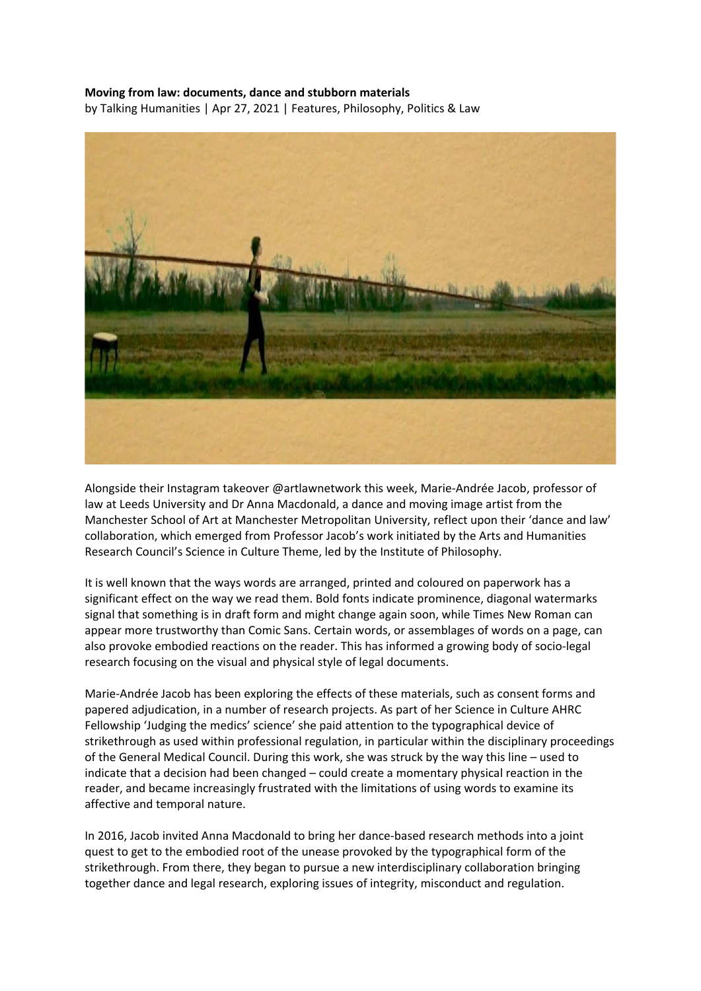## **Moving from law: documents, dance and stubborn materials**

by Talking Humanities | Apr 27, 2021 | Features, Philosophy, Politics & Law



Alongside their Instagram takeover @artlawnetwork this week, Marie-Andrée Jacob, professor of law at Leeds University and Dr Anna Macdonald, a dance and moving image artist from the Manchester School of Art at Manchester Metropolitan University, reflect upon their 'dance and law' collaboration, which emerged from Professor Jacob's work initiated by the Arts and Humanities Research Council's Science in Culture Theme, led by the Institute of Philosophy.

It is well known that the ways words are arranged, printed and coloured on paperwork has a significant effect on the way we read them. Bold fonts indicate prominence, diagonal watermarks signal that something is in draft form and might change again soon, while Times New Roman can appear more trustworthy than Comic Sans. Certain words, or assemblages of words on a page, can also provoke embodied reactions on the reader. This has informed a growing body of socio-legal research focusing on the visual and physical style of legal documents.

Marie-Andrée Jacob has been exploring the effects of these materials, such as consent forms and papered adjudication, in a number of research projects. As part of her Science in Culture AHRC Fellowship 'Judging the medics' science' she paid attention to the typographical device of strikethrough as used within professional regulation, in particular within the disciplinary proceedings of the General Medical Council. During this work, she was struck by the way this line – used to indicate that a decision had been changed – could create a momentary physical reaction in the reader, and became increasingly frustrated with the limitations of using words to examine its affective and temporal nature.

In 2016, Jacob invited Anna Macdonald to bring her dance-based research methods into a joint quest to get to the embodied root of the unease provoked by the typographical form of the strikethrough. From there, they began to pursue a new interdisciplinary collaboration bringing together dance and legal research, exploring issues of integrity, misconduct and regulation.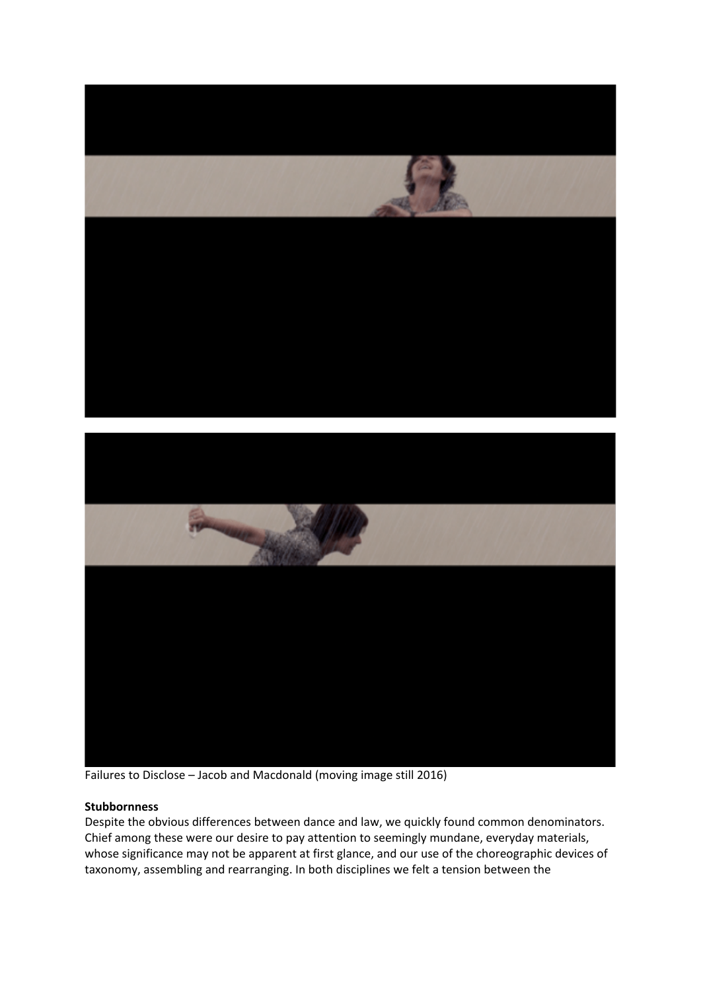



Failures to Disclose – Jacob and Macdonald (moving image still 2016)

## **Stubbornness**

Despite the obvious differences between dance and law, we quickly found common denominators. Chief among these were our desire to pay attention to seemingly mundane, everyday materials, whose significance may not be apparent at first glance, and our use of the choreographic devices of taxonomy, assembling and rearranging. In both disciplines we felt a tension between the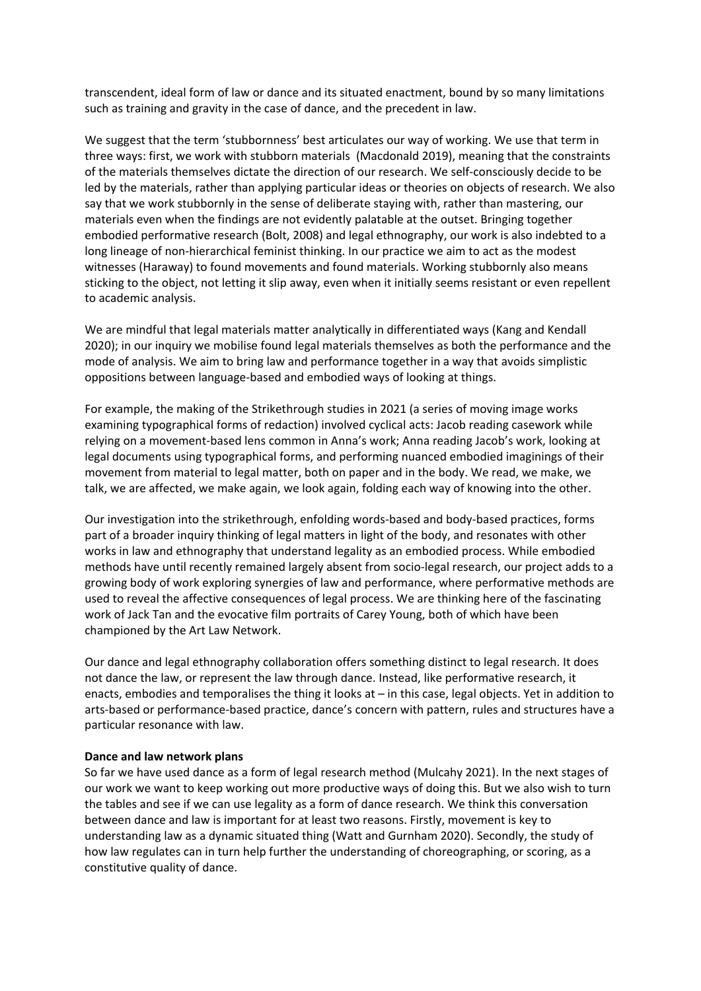transcendent, ideal form of law or dance and its situated enactment, bound by so many limitations such as training and gravity in the case of dance, and the precedent in law.

We suggest that the term 'stubbornness' best articulates our way of working. We use that term in three ways: first, we work with stubborn materials (Macdonald 2019), meaning that the constraints of the materials themselves dictate the direction of our research. We self-consciously decide to be led by the materials, rather than applying particular ideas or theories on objects of research. We also say that we work stubbornly in the sense of deliberate staying with, rather than mastering, our materials even when the findings are not evidently palatable at the outset. Bringing together embodied performative research (Bolt, 2008) and legal ethnography, our work is also indebted to a long lineage of non-hierarchical feminist thinking. In our practice we aim to act as the modest witnesses (Haraway) to found movements and found materials. Working stubbornly also means sticking to the object, not letting it slip away, even when it initially seems resistant or even repellent to academic analysis.

We are mindful that legal materials matter analytically in differentiated ways (Kang and Kendall 2020); in our inquiry we mobilise found legal materials themselves as both the performance and the mode of analysis. We aim to bring law and performance together in a way that avoids simplistic oppositions between language-based and embodied ways of looking at things.

For example, the making of the Strikethrough studies in 2021 (a series of moving image works examining typographical forms of redaction) involved cyclical acts: Jacob reading casework while relying on a movement-based lens common in Anna's work; Anna reading Jacob's work, looking at legal documents using typographical forms, and performing nuanced embodied imaginings of their movement from material to legal matter, both on paper and in the body. We read, we make, we talk, we are affected, we make again, we look again, folding each way of knowing into the other.

Our investigation into the strikethrough, enfolding words-based and body-based practices, forms part of a broader inquiry thinking of legal matters in light of the body, and resonates with other works in law and ethnography that understand legality as an embodied process. While embodied methods have until recently remained largely absent from socio-legal research, our project adds to a growing body of work exploring synergies of law and performance, where performative methods are used to reveal the affective consequences of legal process. We are thinking here of the fascinating work of Jack Tan and the evocative film portraits of Carey Young, both of which have been championed by the Art Law Network.

Our dance and legal ethnography collaboration offers something distinct to legal research. It does not dance the law, or represent the law through dance. Instead, like performative research, it enacts, embodies and temporalises the thing it looks at – in this case, legal objects. Yet in addition to arts-based or performance-based practice, dance's concern with pattern, rules and structures have a particular resonance with law.

## **Dance and law network plans**

So far we have used dance as a form of legal research method (Mulcahy 2021). In the next stages of our work we want to keep working out more productive ways of doing this. But we also wish to turn the tables and see if we can use legality as a form of dance research. We think this conversation between dance and law is important for at least two reasons. Firstly, movement is key to understanding law as a dynamic situated thing (Watt and Gurnham 2020). Secondly, the study of how law regulates can in turn help further the understanding of choreographing, or scoring, as a constitutive quality of dance.